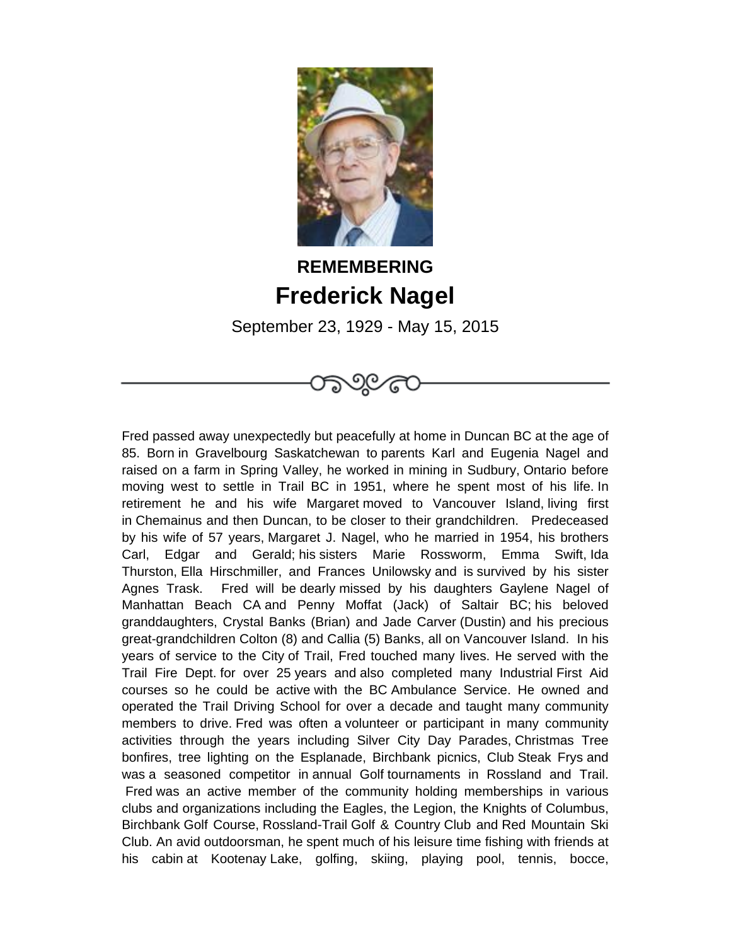

## **REMEMBERING Frederick Nagel**

September 23, 1929 - May 15, 2015

ಗಾರ್ಯಿ

Fred passed away unexpectedly but peacefully at home in Duncan BC at the age of 85. Born in Gravelbourg Saskatchewan to parents Karl and Eugenia Nagel and raised on a farm in Spring Valley, he worked in mining in Sudbury, Ontario before moving west to settle in Trail BC in 1951, where he spent most of his life. In retirement he and his wife Margaret moved to Vancouver Island, living first in Chemainus and then Duncan, to be closer to their grandchildren. Predeceased by his wife of 57 years, Margaret J. Nagel, who he married in 1954, his brothers Carl, Edgar and Gerald; his sisters Marie Rossworm, Emma Swift, Ida Thurston, Ella Hirschmiller, and Frances Unilowsky and is survived by his sister Agnes Trask. Fred will be dearly missed by his daughters Gaylene Nagel of Manhattan Beach CA and Penny Moffat (Jack) of Saltair BC; his beloved granddaughters, Crystal Banks (Brian) and Jade Carver (Dustin) and his precious great-grandchildren Colton (8) and Callia (5) Banks, all on Vancouver Island. In his years of service to the City of Trail, Fred touched many lives. He served with the Trail Fire Dept. for over 25 years and also completed many Industrial First Aid courses so he could be active with the BC Ambulance Service. He owned and operated the Trail Driving School for over a decade and taught many community members to drive. Fred was often a volunteer or participant in many community activities through the years including Silver City Day Parades, Christmas Tree bonfires, tree lighting on the Esplanade, Birchbank picnics, Club Steak Frys and was a seasoned competitor in annual Golf tournaments in Rossland and Trail. Fred was an active member of the community holding memberships in various clubs and organizations including the Eagles, the Legion, the Knights of Columbus, Birchbank Golf Course, Rossland-Trail Golf & Country Club and Red Mountain Ski Club. An avid outdoorsman, he spent much of his leisure time fishing with friends at his cabin at Kootenay Lake, golfing, skiing, playing pool, tennis, bocce,